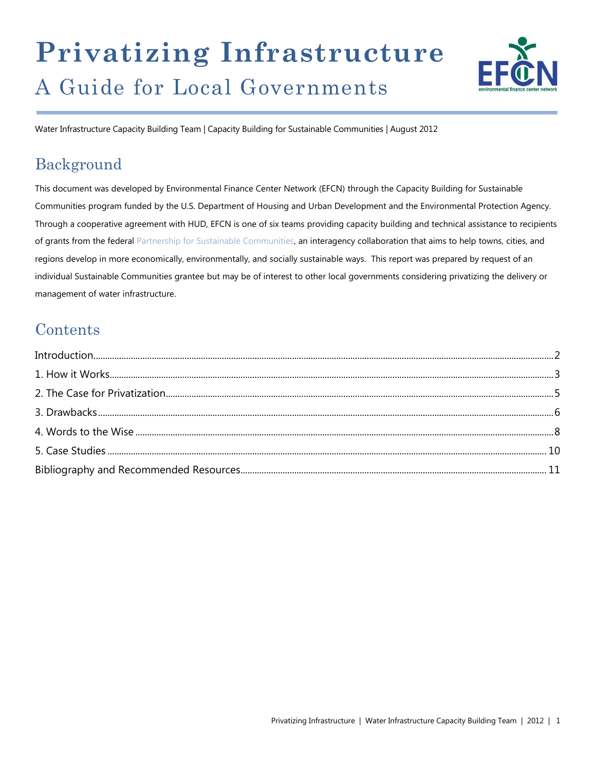# **Privatizing Infrastructure** A Guide for Local Governments



Water Infrastructure Capacity Building Team | Capacity Building for Sustainable Communities | August 2012

# Background

This document was developed by Environmental Finance Center Network (EFCN) through the Capacity Building for Sustainable Communities program funded by the U.S. Department of Housing and Urban Development and the Environmental Protection Agency. Through a cooperative agreement with HUD, EFCN is one of six teams providing capacity building and technical assistance to recipients of grants from the federal [Partnership for Sustainable Communities,](http://www.sustainablecommunities.gov/) an interagency collaboration that aims to help towns, cities, and regions develop in more economically, environmentally, and socially sustainable ways. This report was prepared by request of an individual Sustainable Communities grantee but may be of interest to other local governments considering privatizing the delivery or management of water infrastructure.

# **Contents**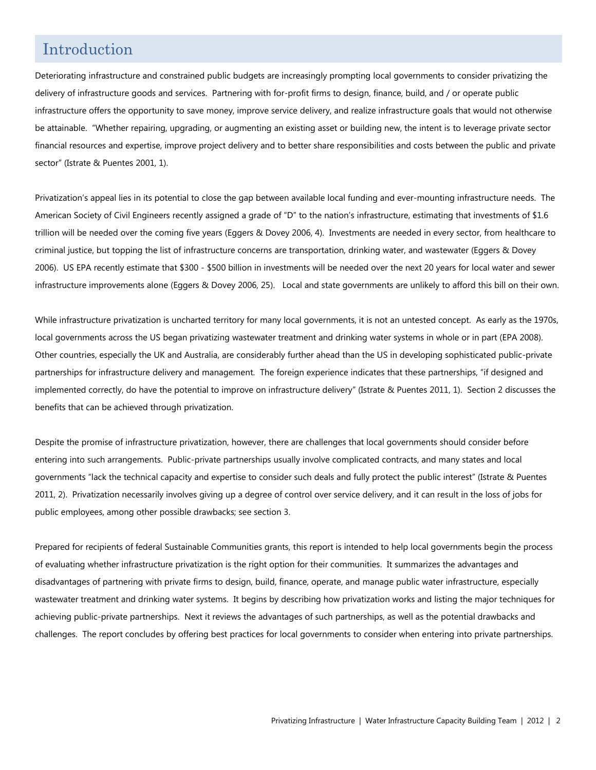### Introduction

Deteriorating infrastructure and constrained public budgets are increasingly prompting local governments to consider privatizing the delivery of infrastructure goods and services. Partnering with for-profit firms to design, finance, build, and / or operate public infrastructure offers the opportunity to save money, improve service delivery, and realize infrastructure goals that would not otherwise be attainable. "Whether repairing, upgrading, or augmenting an existing asset or building new, the intent is to leverage private sector financial resources and expertise, improve project delivery and to better share responsibilities and costs between the public and private sector" (Istrate & Puentes 2001, 1).

Privatization's appeal lies in its potential to close the gap between available local funding and ever-mounting infrastructure needs. The American Society of Civil Engineers recently assigned a grade of "D" to the nation's infrastructure, estimating that investments of \$1.6 trillion will be needed over the coming five years (Eggers & Dovey 2006, 4). Investments are needed in every sector, from healthcare to criminal justice, but topping the list of infrastructure concerns are transportation, drinking water, and wastewater (Eggers & Dovey 2006). US EPA recently estimate that \$300 - \$500 billion in investments will be needed over the next 20 years for local water and sewer infrastructure improvements alone (Eggers & Dovey 2006, 25). Local and state governments are unlikely to afford this bill on their own.

While infrastructure privatization is uncharted territory for many local governments, it is not an untested concept. As early as the 1970s, local governments across the US began privatizing wastewater treatment and drinking water systems in whole or in part (EPA 2008). Other countries, especially the UK and Australia, are considerably further ahead than the US in developing sophisticated public-private partnerships for infrastructure delivery and management. The foreign experience indicates that these partnerships, "if designed and implemented correctly, do have the potential to improve on infrastructure delivery" (Istrate & Puentes 2011, 1). Section 2 discusses the benefits that can be achieved through privatization.

Despite the promise of infrastructure privatization, however, there are challenges that local governments should consider before entering into such arrangements. Public-private partnerships usually involve complicated contracts, and many states and local governments "lack the technical capacity and expertise to consider such deals and fully protect the public interest" (Istrate & Puentes 2011, 2). Privatization necessarily involves giving up a degree of control over service delivery, and it can result in the loss of jobs for public employees, among other possible drawbacks; see section 3.

Prepared for recipients of federal Sustainable Communities grants, this report is intended to help local governments begin the process of evaluating whether infrastructure privatization is the right option for their communities. It summarizes the advantages and disadvantages of partnering with private firms to design, build, finance, operate, and manage public water infrastructure, especially wastewater treatment and drinking water systems. It begins by describing how privatization works and listing the major techniques for achieving public-private partnerships. Next it reviews the advantages of such partnerships, as well as the potential drawbacks and challenges. The report concludes by offering best practices for local governments to consider when entering into private partnerships.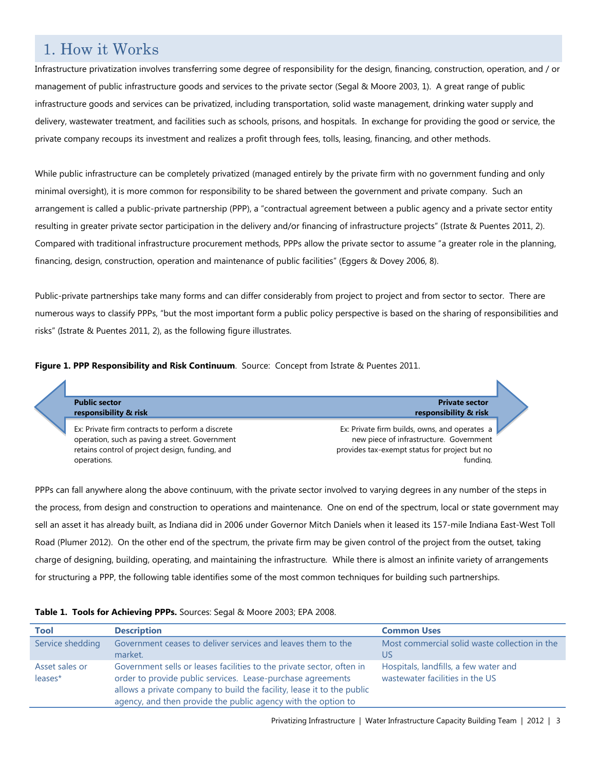## 1. How it Works

Infrastructure privatization involves transferring some degree of responsibility for the design, financing, construction, operation, and / or management of public infrastructure goods and services to the private sector (Segal & Moore 2003, 1). A great range of public infrastructure goods and services can be privatized, including transportation, solid waste management, drinking water supply and delivery, wastewater treatment, and facilities such as schools, prisons, and hospitals. In exchange for providing the good or service, the private company recoups its investment and realizes a profit through fees, tolls, leasing, financing, and other methods.

While public infrastructure can be completely privatized (managed entirely by the private firm with no government funding and only minimal oversight), it is more common for responsibility to be shared between the government and private company. Such an arrangement is called a public-private partnership (PPP), a "contractual agreement between a public agency and a private sector entity resulting in greater private sector participation in the delivery and/or financing of infrastructure projects" (Istrate & Puentes 2011, 2). Compared with traditional infrastructure procurement methods, PPPs allow the private sector to assume "a greater role in the planning, financing, design, construction, operation and maintenance of public facilities" (Eggers & Dovey 2006, 8).

Public-private partnerships take many forms and can differ considerably from project to project and from sector to sector. There are numerous ways to classify PPPs, "but the most important form a public policy perspective is based on the sharing of responsibilities and risks" (Istrate & Puentes 2011, 2), as the following figure illustrates.





PPPs can fall anywhere along the above continuum, with the private sector involved to varying degrees in any number of the steps in the process, from design and construction to operations and maintenance. One on end of the spectrum, local or state government may sell an asset it has already built, as Indiana did in 2006 under Governor Mitch Daniels when it leased its 157-mile Indiana East-West Toll Road (Plumer 2012). On the other end of the spectrum, the private firm may be given control of the project from the outset, taking charge of designing, building, operating, and maintaining the infrastructure*.* While there is almost an infinite variety of arrangements for structuring a PPP, the following table identifies some of the most common techniques for building such partnerships.

| Tool                      | <b>Description</b>                                                                                                                                                                                                                                                              | <b>Common Uses</b>                                                       |
|---------------------------|---------------------------------------------------------------------------------------------------------------------------------------------------------------------------------------------------------------------------------------------------------------------------------|--------------------------------------------------------------------------|
| Service shedding          | Government ceases to deliver services and leaves them to the<br>market.                                                                                                                                                                                                         | Most commercial solid waste collection in the<br>US                      |
| Asset sales or<br>leases* | Government sells or leases facilities to the private sector, often in<br>order to provide public services. Lease-purchase agreements<br>allows a private company to build the facility, lease it to the public<br>agency, and then provide the public agency with the option to | Hospitals, landfills, a few water and<br>wastewater facilities in the US |

### **Table 1. Tools for Achieving PPPs.** Sources: Segal & Moore 2003; EPA 2008.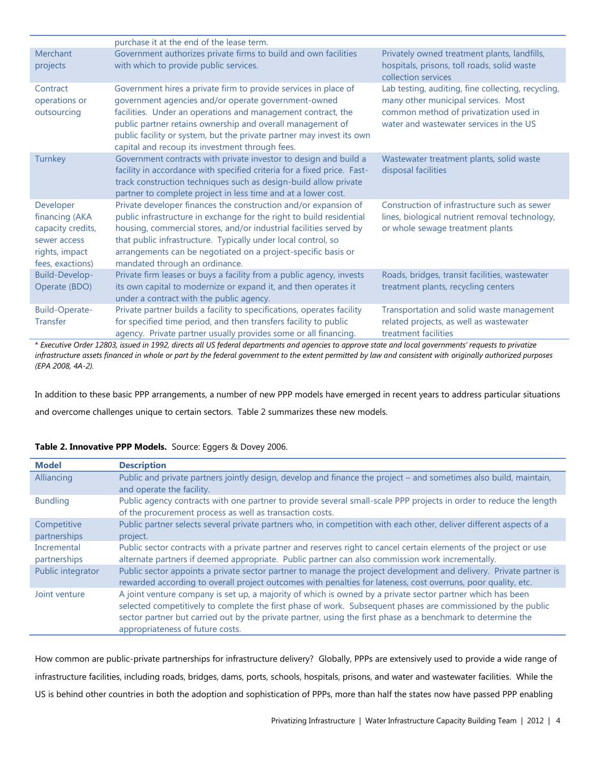|                                                                                                        | purchase it at the end of the lease term.                                                                                                                                                                                                                                                                                                                                         |                                                                                                                                                                                |
|--------------------------------------------------------------------------------------------------------|-----------------------------------------------------------------------------------------------------------------------------------------------------------------------------------------------------------------------------------------------------------------------------------------------------------------------------------------------------------------------------------|--------------------------------------------------------------------------------------------------------------------------------------------------------------------------------|
| Merchant<br>projects                                                                                   | Government authorizes private firms to build and own facilities<br>with which to provide public services.                                                                                                                                                                                                                                                                         | Privately owned treatment plants, landfills,<br>hospitals, prisons, toll roads, solid waste<br>collection services                                                             |
| Contract<br>operations or<br>outsourcing                                                               | Government hires a private firm to provide services in place of<br>government agencies and/or operate government-owned<br>facilities. Under an operations and management contract, the<br>public partner retains ownership and overall management of<br>public facility or system, but the private partner may invest its own<br>capital and recoup its investment through fees.  | Lab testing, auditing, fine collecting, recycling,<br>many other municipal services. Most<br>common method of privatization used in<br>water and wastewater services in the US |
| Turnkey                                                                                                | Government contracts with private investor to design and build a<br>facility in accordance with specified criteria for a fixed price. Fast-<br>track construction techniques such as design-build allow private<br>partner to complete project in less time and at a lower cost.                                                                                                  | Wastewater treatment plants, solid waste<br>disposal facilities                                                                                                                |
| Developer<br>financing (AKA<br>capacity credits,<br>sewer access<br>rights, impact<br>fees, exactions) | Private developer finances the construction and/or expansion of<br>public infrastructure in exchange for the right to build residential<br>housing, commercial stores, and/or industrial facilities served by<br>that public infrastructure. Typically under local control, so<br>arrangements can be negotiated on a project-specific basis or<br>mandated through an ordinance. | Construction of infrastructure such as sewer<br>lines, biological nutrient removal technology,<br>or whole sewage treatment plants                                             |
| Build-Develop-<br>Operate (BDO)                                                                        | Private firm leases or buys a facility from a public agency, invests<br>its own capital to modernize or expand it, and then operates it<br>under a contract with the public agency.                                                                                                                                                                                               | Roads, bridges, transit facilities, wastewater<br>treatment plants, recycling centers                                                                                          |
| <b>Build-Operate-</b><br><b>Transfer</b>                                                               | Private partner builds a facility to specifications, operates facility<br>for specified time period, and then transfers facility to public<br>agency. Private partner usually provides some or all financing.                                                                                                                                                                     | Transportation and solid waste management<br>related projects, as well as wastewater<br>treatment facilities                                                                   |

\* *Executive Order 12803, issued in 1992, directs all US federal departments and agencies to approve state and local governments' requests to privatize infrastructure assets financed in whole or part by the federal government to the extent permitted by law and consistent with originally authorized purposes (EPA 2008, 4A-2).*

In addition to these basic PPP arrangements, a number of new PPP models have emerged in recent years to address particular situations and overcome challenges unique to certain sectors. Table 2 summarizes these new models.

| <b>Model</b>                | <b>Description</b>                                                                                                                                                                                                                                                                                                                                                             |
|-----------------------------|--------------------------------------------------------------------------------------------------------------------------------------------------------------------------------------------------------------------------------------------------------------------------------------------------------------------------------------------------------------------------------|
| Alliancing                  | Public and private partners jointly design, develop and finance the project – and sometimes also build, maintain,<br>and operate the facility.                                                                                                                                                                                                                                 |
| <b>Bundling</b>             | Public agency contracts with one partner to provide several small-scale PPP projects in order to reduce the length<br>of the procurement process as well as transaction costs.                                                                                                                                                                                                 |
| Competitive<br>partnerships | Public partner selects several private partners who, in competition with each other, deliver different aspects of a<br>project.                                                                                                                                                                                                                                                |
| Incremental<br>partnerships | Public sector contracts with a private partner and reserves right to cancel certain elements of the project or use<br>alternate partners if deemed appropriate. Public partner can also commission work incrementally.                                                                                                                                                         |
| Public integrator           | Public sector appoints a private sector partner to manage the project development and delivery. Private partner is<br>rewarded according to overall project outcomes with penalties for lateness, cost overruns, poor quality, etc.                                                                                                                                            |
| Joint venture               | A joint venture company is set up, a majority of which is owned by a private sector partner which has been<br>selected competitively to complete the first phase of work. Subsequent phases are commissioned by the public<br>sector partner but carried out by the private partner, using the first phase as a benchmark to determine the<br>appropriateness of future costs. |

### **Table 2. Innovative PPP Models.** Source: Eggers & Dovey 2006.

How common are public-private partnerships for infrastructure delivery? Globally, PPPs are extensively used to provide a wide range of infrastructure facilities, including roads, bridges, dams, ports, schools, hospitals, prisons, and water and wastewater facilities. While the US is behind other countries in both the adoption and sophistication of PPPs, more than half the states now have passed PPP enabling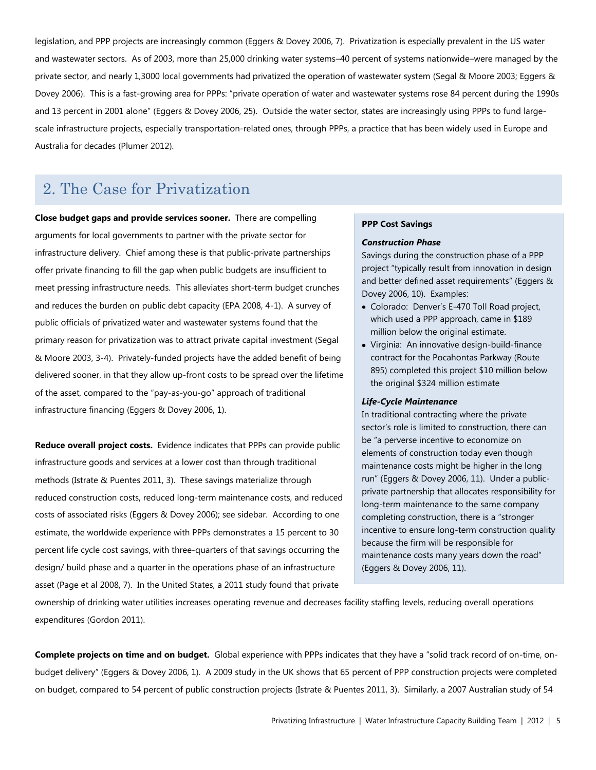legislation, and PPP projects are increasingly common (Eggers & Dovey 2006, 7). Privatization is especially prevalent in the US water and wastewater sectors. As of 2003, more than 25,000 drinking water systems–40 percent of systems nationwide–were managed by the private sector, and nearly 1,3000 local governments had privatized the operation of wastewater system (Segal & Moore 2003; Eggers & Dovey 2006). This is a fast-growing area for PPPs: "private operation of water and wastewater systems rose 84 percent during the 1990s and 13 percent in 2001 alone" (Eggers & Dovey 2006, 25). Outside the water sector, states are increasingly using PPPs to fund largescale infrastructure projects, especially transportation-related ones, through PPPs, a practice that has been widely used in Europe and Australia for decades (Plumer 2012).

### 2. The Case for Privatization

**Close budget gaps and provide services sooner.** There are compelling arguments for local governments to partner with the private sector for infrastructure delivery. Chief among these is that public-private partnerships offer private financing to fill the gap when public budgets are insufficient to meet pressing infrastructure needs. This alleviates short-term budget crunches and reduces the burden on public debt capacity (EPA 2008, 4-1). A survey of public officials of privatized water and wastewater systems found that the primary reason for privatization was to attract private capital investment (Segal & Moore 2003, 3-4). Privately-funded projects have the added benefit of being delivered sooner, in that they allow up-front costs to be spread over the lifetime of the asset, compared to the "pay-as-you-go" approach of traditional infrastructure financing (Eggers & Dovey 2006, 1).

**Reduce overall project costs.** Evidence indicates that PPPs can provide public infrastructure goods and services at a lower cost than through traditional methods (Istrate & Puentes 2011, 3). These savings materialize through reduced construction costs, reduced long-term maintenance costs, and reduced costs of associated risks (Eggers & Dovey 2006); see sidebar. According to one estimate, the worldwide experience with PPPs demonstrates a 15 percent to 30 percent life cycle cost savings, with three-quarters of that savings occurring the design/ build phase and a quarter in the operations phase of an infrastructure asset (Page et al 2008, 7). In the United States, a 2011 study found that private

#### **PPP Cost Savings**

#### *Construction Phase*

Savings during the construction phase of a PPP project "typically result from innovation in design and better defined asset requirements" (Eggers & Dovey 2006, 10). Examples:

- Colorado: Denver's E-470 Toll Road project, which used a PPP approach, came in \$189 million below the original estimate.
- Virginia: An innovative design-build-finance contract for the Pocahontas Parkway (Route 895) completed this project \$10 million below the original \$324 million estimate

#### *Life-Cycle Maintenance*

In traditional contracting where the private sector's role is limited to construction, there can be "a perverse incentive to economize on elements of construction today even though maintenance costs might be higher in the long run" (Eggers & Dovey 2006, 11). Under a publicprivate partnership that allocates responsibility for long-term maintenance to the same company completing construction, there is a "stronger incentive to ensure long-term construction quality because the firm will be responsible for maintenance costs many years down the road" (Eggers & Dovey 2006, 11).

ownership of drinking water utilities increases operating revenue and decreases facility staffing levels, reducing overall operations expenditures (Gordon 2011).

**Complete projects on time and on budget.** Global experience with PPPs indicates that they have a "solid track record of on-time, onbudget delivery" (Eggers & Dovey 2006, 1). A 2009 study in the UK shows that 65 percent of PPP construction projects were completed on budget, compared to 54 percent of public construction projects (Istrate & Puentes 2011, 3). Similarly, a 2007 Australian study of 54

Source: Eggers & Dovey 2006.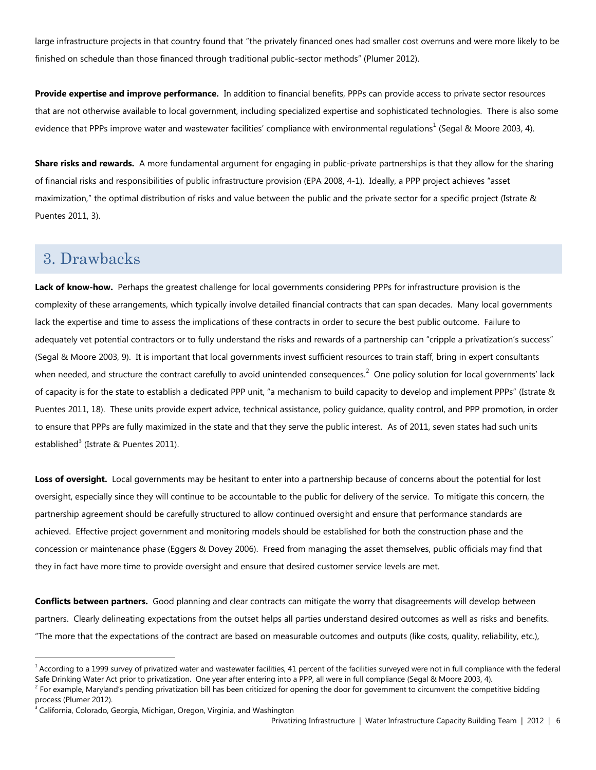large infrastructure projects in that country found that "the privately financed ones had smaller cost overruns and were more likely to be finished on schedule than those financed through traditional public-sector methods" (Plumer 2012).

**Provide expertise and improve performance.** In addition to financial benefits, PPPs can provide access to private sector resources that are not otherwise available to local government, including specialized expertise and sophisticated technologies. There is also some evidence that PPPs improve water and wastewater facilities' compliance with environmental regulations<sup>1</sup> (Segal & Moore 2003, 4).

**Share risks and rewards.** A more fundamental argument for engaging in public-private partnerships is that they allow for the sharing of financial risks and responsibilities of public infrastructure provision (EPA 2008, 4-1). Ideally, a PPP project achieves "asset maximization," the optimal distribution of risks and value between the public and the private sector for a specific project (Istrate & Puentes 2011, 3).

### 3. Drawbacks

 $\overline{a}$ 

**Lack of know-how.** Perhaps the greatest challenge for local governments considering PPPs for infrastructure provision is the complexity of these arrangements, which typically involve detailed financial contracts that can span decades. Many local governments lack the expertise and time to assess the implications of these contracts in order to secure the best public outcome. Failure to adequately vet potential contractors or to fully understand the risks and rewards of a partnership can "cripple a privatization's success" (Segal & Moore 2003, 9). It is important that local governments invest sufficient resources to train staff, bring in expert consultants when needed, and structure the contract carefully to avoid unintended consequences.<sup>2</sup> One policy solution for local governments' lack of capacity is for the state to establish a dedicated PPP unit, "a mechanism to build capacity to develop and implement PPPs" (Istrate & Puentes 2011, 18). These units provide expert advice, technical assistance, policy guidance, quality control, and PPP promotion, in order to ensure that PPPs are fully maximized in the state and that they serve the public interest. As of 2011, seven states had such units established<sup>3</sup> (Istrate & Puentes 2011).

**Loss of oversight.** Local governments may be hesitant to enter into a partnership because of concerns about the potential for lost oversight, especially since they will continue to be accountable to the public for delivery of the service. To mitigate this concern, the partnership agreement should be carefully structured to allow continued oversight and ensure that performance standards are achieved. Effective project government and monitoring models should be established for both the construction phase and the concession or maintenance phase (Eggers & Dovey 2006). Freed from managing the asset themselves, public officials may find that they in fact have more time to provide oversight and ensure that desired customer service levels are met.

**Conflicts between partners.** Good planning and clear contracts can mitigate the worry that disagreements will develop between partners. Clearly delineating expectations from the outset helps all parties understand desired outcomes as well as risks and benefits. "The more that the expectations of the contract are based on measurable outcomes and outputs (like costs, quality, reliability, etc.),

 $<sup>1</sup>$  According to a 1999 survey of privatized water and wastewater facilities, 41 percent of the facilities surveyed were not in full compliance with the federal</sup> Safe Drinking Water Act prior to privatization. One year after entering into a PPP, all were in full compliance (Segal & Moore 2003, 4).

<sup>&</sup>lt;sup>2</sup> For example, Maryland's pending privatization bill has been criticized for opening the door for government to circumvent the competitive bidding process (Plumer 2012).

<sup>&</sup>lt;sup>3</sup> California, Colorado, Georgia, Michigan, Oregon, Virginia, and Washington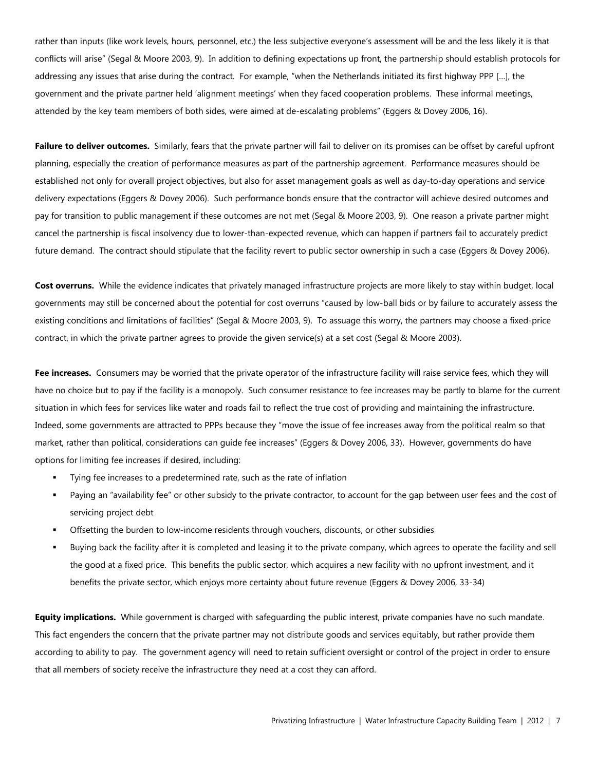rather than inputs (like work levels, hours, personnel, etc.) the less subjective everyone's assessment will be and the less likely it is that conflicts will arise" (Segal & Moore 2003, 9). In addition to defining expectations up front, the partnership should establish protocols for addressing any issues that arise during the contract. For example, "when the Netherlands initiated its first highway PPP […], the government and the private partner held 'alignment meetings' when they faced cooperation problems. These informal meetings, attended by the key team members of both sides, were aimed at de-escalating problems" (Eggers & Dovey 2006, 16).

**Failure to deliver outcomes.** Similarly, fears that the private partner will fail to deliver on its promises can be offset by careful upfront planning, especially the creation of performance measures as part of the partnership agreement. Performance measures should be established not only for overall project objectives, but also for asset management goals as well as day-to-day operations and service delivery expectations (Eggers & Dovey 2006). Such performance bonds ensure that the contractor will achieve desired outcomes and pay for transition to public management if these outcomes are not met (Segal & Moore 2003, 9). One reason a private partner might cancel the partnership is fiscal insolvency due to lower-than-expected revenue, which can happen if partners fail to accurately predict future demand. The contract should stipulate that the facility revert to public sector ownership in such a case (Eggers & Dovey 2006).

**Cost overruns.** While the evidence indicates that privately managed infrastructure projects are more likely to stay within budget, local governments may still be concerned about the potential for cost overruns "caused by low-ball bids or by failure to accurately assess the existing conditions and limitations of facilities" (Segal & Moore 2003, 9). To assuage this worry, the partners may choose a fixed-price contract, in which the private partner agrees to provide the given service(s) at a set cost (Segal & Moore 2003).

**Fee increases.** Consumers may be worried that the private operator of the infrastructure facility will raise service fees, which they will have no choice but to pay if the facility is a monopoly. Such consumer resistance to fee increases may be partly to blame for the current situation in which fees for services like water and roads fail to reflect the true cost of providing and maintaining the infrastructure. Indeed, some governments are attracted to PPPs because they "move the issue of fee increases away from the political realm so that market, rather than political, considerations can guide fee increases" (Eggers & Dovey 2006, 33). However, governments do have options for limiting fee increases if desired, including:

- Tying fee increases to a predetermined rate, such as the rate of inflation
- Paying an "availability fee" or other subsidy to the private contractor, to account for the gap between user fees and the cost of servicing project debt
- Offsetting the burden to low-income residents through vouchers, discounts, or other subsidies
- Buying back the facility after it is completed and leasing it to the private company, which agrees to operate the facility and sell the good at a fixed price. This benefits the public sector, which acquires a new facility with no upfront investment, and it benefits the private sector, which enjoys more certainty about future revenue (Eggers & Dovey 2006, 33-34)

**Equity implications.** While government is charged with safeguarding the public interest, private companies have no such mandate. This fact engenders the concern that the private partner may not distribute goods and services equitably, but rather provide them according to ability to pay. The government agency will need to retain sufficient oversight or control of the project in order to ensure that all members of society receive the infrastructure they need at a cost they can afford.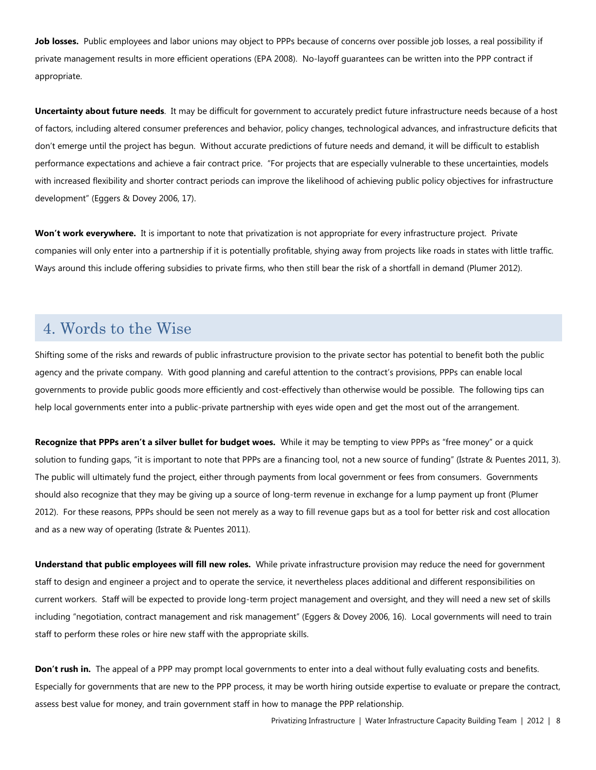**Job losses.** Public employees and labor unions may object to PPPs because of concerns over possible job losses, a real possibility if private management results in more efficient operations (EPA 2008). No-layoff guarantees can be written into the PPP contract if appropriate.

**Uncertainty about future needs**. It may be difficult for government to accurately predict future infrastructure needs because of a host of factors, including altered consumer preferences and behavior, policy changes, technological advances, and infrastructure deficits that don't emerge until the project has begun. Without accurate predictions of future needs and demand, it will be difficult to establish performance expectations and achieve a fair contract price. "For projects that are especially vulnerable to these uncertainties, models with increased flexibility and shorter contract periods can improve the likelihood of achieving public policy objectives for infrastructure development" (Eggers & Dovey 2006, 17).

**Won't work everywhere.** It is important to note that privatization is not appropriate for every infrastructure project. Private companies will only enter into a partnership if it is potentially profitable, shying away from projects like roads in states with little traffic*.*  Ways around this include offering subsidies to private firms, who then still bear the risk of a shortfall in demand (Plumer 2012).

### 4. Words to the Wise

Shifting some of the risks and rewards of public infrastructure provision to the private sector has potential to benefit both the public agency and the private company. With good planning and careful attention to the contract's provisions, PPPs can enable local governments to provide public goods more efficiently and cost-effectively than otherwise would be possible. The following tips can help local governments enter into a public-private partnership with eyes wide open and get the most out of the arrangement.

**Recognize that PPPs aren't a silver bullet for budget woes.** While it may be tempting to view PPPs as "free money" or a quick solution to funding gaps, "it is important to note that PPPs are a financing tool, not a new source of funding" (Istrate & Puentes 2011, 3). The public will ultimately fund the project, either through payments from local government or fees from consumers. Governments should also recognize that they may be giving up a source of long-term revenue in exchange for a lump payment up front (Plumer 2012). For these reasons, PPPs should be seen not merely as a way to fill revenue gaps but as a tool for better risk and cost allocation and as a new way of operating (Istrate & Puentes 2011).

**Understand that public employees will fill new roles.** While private infrastructure provision may reduce the need for government staff to design and engineer a project and to operate the service, it nevertheless places additional and different responsibilities on current workers. Staff will be expected to provide long-term project management and oversight, and they will need a new set of skills including "negotiation, contract management and risk management" (Eggers & Dovey 2006, 16). Local governments will need to train staff to perform these roles or hire new staff with the appropriate skills.

**Don't rush in.** The appeal of a PPP may prompt local governments to enter into a deal without fully evaluating costs and benefits. Especially for governments that are new to the PPP process, it may be worth hiring outside expertise to evaluate or prepare the contract, assess best value for money, and train government staff in how to manage the PPP relationship.

Privatizing Infrastructure | Water Infrastructure Capacity Building Team | 2012 | 8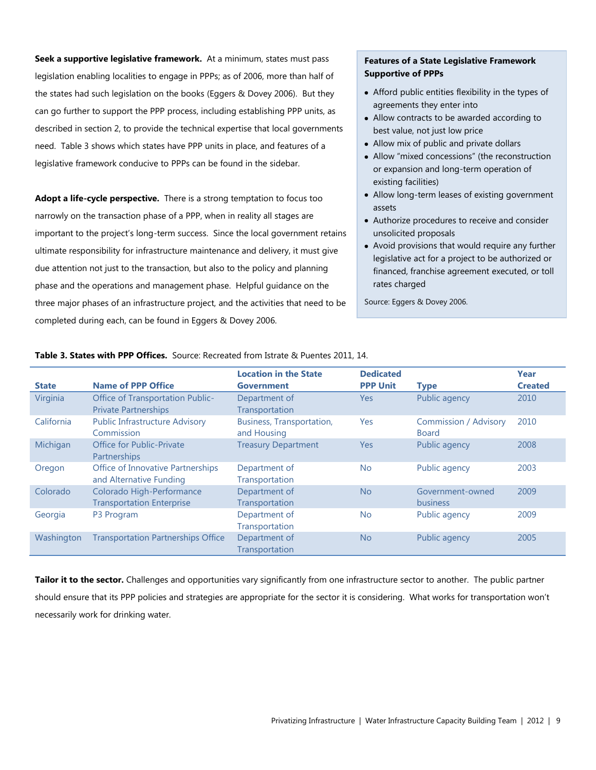**Seek a supportive legislative framework.** At a minimum, states must pass legislation enabling localities to engage in PPPs; as of 2006, more than half of the states had such legislation on the books (Eggers & Dovey 2006). But they can go further to support the PPP process, including establishing PPP units, as described in section 2, to provide the technical expertise that local governments need. Table 3 shows which states have PPP units in place, and features of a legislative framework conducive to PPPs can be found in the sidebar.

**Adopt a life-cycle perspective.** There is a strong temptation to focus too narrowly on the transaction phase of a PPP, when in reality all stages are important to the project's long-term success. Since the local government retains ultimate responsibility for infrastructure maintenance and delivery, it must give due attention not just to the transaction, but also to the policy and planning phase and the operations and management phase. Helpful guidance on the three major phases of an infrastructure project, and the activities that need to be completed during each, can be found in Eggers & Dovey 2006.

### **Features of a State Legislative Framework Supportive of PPPs**

- Afford public entities flexibility in the types of agreements they enter into
- Allow contracts to be awarded according to best value, not just low price
- Allow mix of public and private dollars
- Allow "mixed concessions" (the reconstruction or expansion and long-term operation of existing facilities)
- Allow long-term leases of existing government assets
- Authorize procedures to receive and consider unsolicited proposals
- Avoid provisions that would require any further legislative act for a project to be authorized or financed, franchise agreement executed, or toll rates charged

Source: Eggers & Dovey 2006.

| <b>State</b> | <b>Name of PPP Office</b>                                              | <b>Location in the State</b><br><b>Government</b> | <b>Dedicated</b><br><b>PPP Unit</b> | <b>Type</b>                                  | Year<br><b>Created</b> |
|--------------|------------------------------------------------------------------------|---------------------------------------------------|-------------------------------------|----------------------------------------------|------------------------|
| Virginia     | <b>Office of Transportation Public-</b><br><b>Private Partnerships</b> | Department of<br>Transportation                   | <b>Yes</b>                          | Public agency                                | 2010                   |
| California   | <b>Public Infrastructure Advisory</b><br>Commission                    | Business, Transportation,<br>and Housing          | Yes                                 | <b>Commission / Advisory</b><br><b>Board</b> | 2010                   |
| Michigan     | <b>Office for Public-Private</b><br>Partnerships                       | <b>Treasury Department</b>                        | <b>Yes</b>                          | Public agency                                | 2008                   |
| Oregon       | Office of Innovative Partnerships<br>and Alternative Funding           | Department of<br>Transportation                   | <b>No</b>                           | Public agency                                | 2003                   |
| Colorado     | Colorado High-Performance<br><b>Transportation Enterprise</b>          | Department of<br>Transportation                   | No                                  | Government-owned<br><b>business</b>          | 2009                   |
| Georgia      | P <sub>3</sub> Program                                                 | Department of<br>Transportation                   | <b>No</b>                           | Public agency                                | 2009                   |
| Washington   | <b>Transportation Partnerships Office</b>                              | Department of<br>Transportation                   | No                                  | Public agency                                | 2005                   |

**Table 3. States with PPP Offices.** Source: Recreated from Istrate & Puentes 2011, 14.

**Tailor it to the sector.** Challenges and opportunities vary significantly from one infrastructure sector to another. The public partner should ensure that its PPP policies and strategies are appropriate for the sector it is considering. What works for transportation won't necessarily work for drinking water.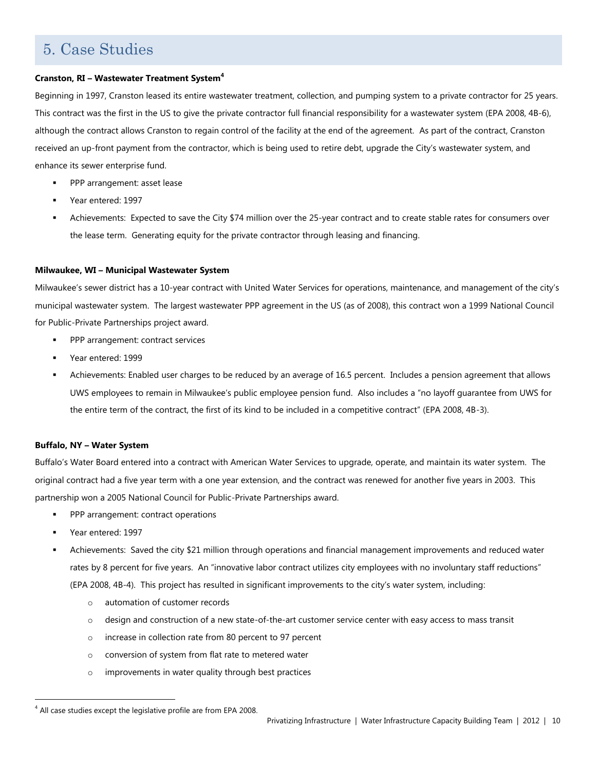# 5. Case Studies

### **Cranston, RI – Wastewater Treatment System<sup>4</sup>**

Beginning in 1997, Cranston leased its entire wastewater treatment, collection, and pumping system to a private contractor for 25 years. This contract was the first in the US to give the private contractor full financial responsibility for a wastewater system (EPA 2008, 4B-6), although the contract allows Cranston to regain control of the facility at the end of the agreement. As part of the contract, Cranston received an up-front payment from the contractor, which is being used to retire debt, upgrade the City's wastewater system, and enhance its sewer enterprise fund.

- PPP arrangement: asset lease
- Year entered: 1997
- Achievements: Expected to save the City \$74 million over the 25-year contract and to create stable rates for consumers over the lease term. Generating equity for the private contractor through leasing and financing.

### **Milwaukee, WI – Municipal Wastewater System**

Milwaukee's sewer district has a 10-year contract with United Water Services for operations, maintenance, and management of the city's municipal wastewater system. The largest wastewater PPP agreement in the US (as of 2008), this contract won a 1999 National Council for Public-Private Partnerships project award.

- PPP arrangement: contract services
- Year entered: 1999
- Achievements: Enabled user charges to be reduced by an average of 16.5 percent. Includes a pension agreement that allows UWS employees to remain in Milwaukee's public employee pension fund. Also includes a "no layoff guarantee from UWS for the entire term of the contract, the first of its kind to be included in a competitive contract" (EPA 2008, 4B-3).

### **Buffalo, NY – Water System**

Buffalo's Water Board entered into a contract with American Water Services to upgrade, operate, and maintain its water system. The original contract had a five year term with a one year extension, and the contract was renewed for another five years in 2003. This partnership won a 2005 National Council for Public-Private Partnerships award.

- PPP arrangement: contract operations
- Year entered: 1997

l

- Achievements: Saved the city \$21 million through operations and financial management improvements and reduced water rates by 8 percent for five years. An "innovative labor contract utilizes city employees with no involuntary staff reductions" (EPA 2008, 4B-4). This project has resulted in significant improvements to the city's water system, including:
	- o automation of customer records
	- o design and construction of a new state-of-the-art customer service center with easy access to mass transit
	- o increase in collection rate from 80 percent to 97 percent
	- o conversion of system from flat rate to metered water
	- o improvements in water quality through best practices

 $4$  All case studies except the legislative profile are from EPA 2008.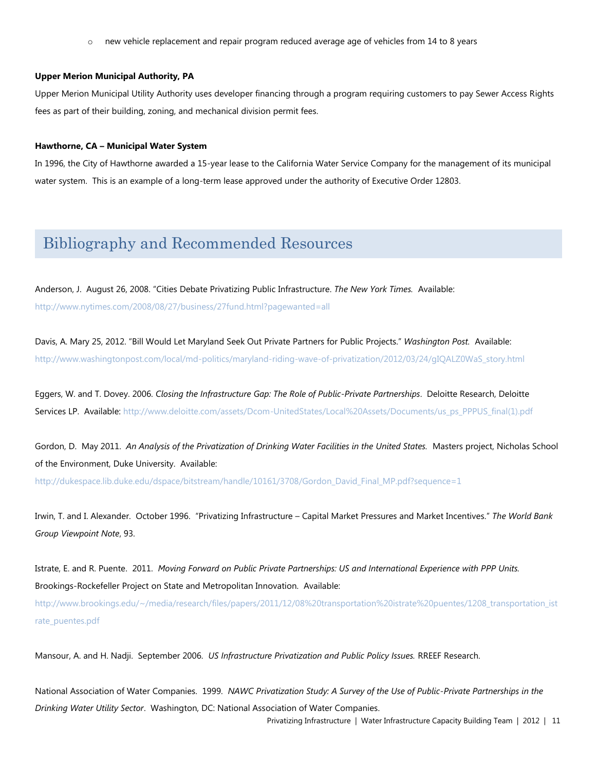o new vehicle replacement and repair program reduced average age of vehicles from 14 to 8 years

#### **Upper Merion Municipal Authority, PA**

Upper Merion Municipal Utility Authority uses developer financing through a program requiring customers to pay Sewer Access Rights fees as part of their building, zoning, and mechanical division permit fees.

#### **Hawthorne, CA – Municipal Water System**

In 1996, the City of Hawthorne awarded a 15-year lease to the California Water Service Company for the management of its municipal water system. This is an example of a long-term lease approved under the authority of Executive Order 12803.

### Bibliography and Recommended Resources

Anderson, J. August 26, 2008. "Cities Debate Privatizing Public Infrastructure. *The New York Times.* Available: <http://www.nytimes.com/2008/08/27/business/27fund.html?pagewanted=all>

Davis, A. Mary 25, 2012. "Bill Would Let Maryland Seek Out Private Partners for Public Projects." *Washington Post.* Available: [http://www.washingtonpost.com/local/md-politics/maryland-riding-wave-of-privatization/2012/03/24/gIQALZ0WaS\\_story.html](http://www.washingtonpost.com/local/md-politics/maryland-riding-wave-of-privatization/2012/03/24/gIQALZ0WaS_story.html)

Eggers, W. and T. Dovey. 2006. *Closing the Infrastructure Gap: The Role of Public-Private Partnerships*. Deloitte Research, Deloitte Services LP. Available[: http://www.deloitte.com/assets/Dcom-UnitedStates/Local%20Assets/Documents/us\\_ps\\_PPPUS\\_final\(1\).pdf](http://www.deloitte.com/assets/Dcom-UnitedStates/Local%20Assets/Documents/us_ps_PPPUS_final(1).pdf)

Gordon, D. May 2011. *An Analysis of the Privatization of Drinking Water Facilities in the United States.* Masters project, Nicholas School of the Environment, Duke University. Available:

[http://dukespace.lib.duke.edu/dspace/bitstream/handle/10161/3708/Gordon\\_David\\_Final\\_MP.pdf?sequence=1](http://dukespace.lib.duke.edu/dspace/bitstream/handle/10161/3708/Gordon_David_Final_MP.pdf?sequence=1)

Irwin, T. and I. Alexander. October 1996. "Privatizing Infrastructure – Capital Market Pressures and Market Incentives." *The World Bank Group Viewpoint Note*, 93.

Istrate, E. and R. Puente. 2011. *Moving Forward on Public Private Partnerships: US and International Experience with PPP Units.* Brookings-Rockefeller Project on State and Metropolitan Innovation. Available:

[http://www.brookings.edu/~/media/research/files/papers/2011/12/08%20transportation%20istrate%20puentes/1208\\_transportation\\_ist](http://www.brookings.edu/~/media/research/files/papers/2011/12/08%20transportation%20istrate%20puentes/1208_transportation_istrate_puentes.pdf) [rate\\_puentes.pdf](http://www.brookings.edu/~/media/research/files/papers/2011/12/08%20transportation%20istrate%20puentes/1208_transportation_istrate_puentes.pdf)

Mansour, A. and H. Nadji. September 2006. *US Infrastructure Privatization and Public Policy Issues.* RREEF Research.

National Association of Water Companies. 1999. *NAWC Privatization Study: A Survey of the Use of Public-Private Partnerships in the Drinking Water Utility Sector*. Washington, DC: National Association of Water Companies.

Privatizing Infrastructure | Water Infrastructure Capacity Building Team | 2012 | 11